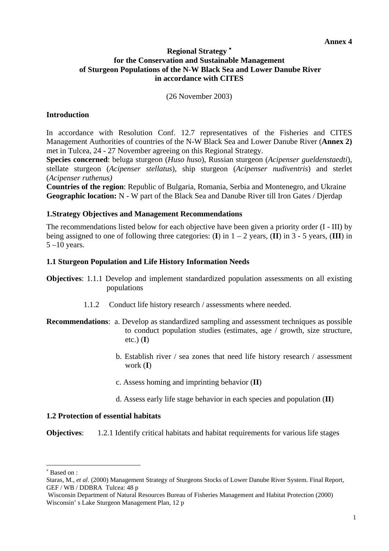# **Regional Strategy** <sup>∗</sup> **for the Conservation and Sustainable Management of Sturgeon Populations of the N-W Black Sea and Lower Danube River in accordance with CITES**

(26 November 2003)

# **Introduction**

In accordance with Resolution Conf. 12.7 representatives of the Fisheries and CITES Management Authorities of countries of the N-W Black Sea and Lower Danube River (**Annex 2)** met in Tulcea, 24 - 27 November agreeing on this Regional Strategy.

**Species concerned**: beluga sturgeon (*Huso huso*), Russian sturgeon (*Acipenser gueldenstaedti*), stellate sturgeon (*Acipenser stellatus*), ship sturgeon (*Acipenser nudiventris*) and sterlet (*Acipenser ruthenus)* 

**Countries of the region**: Republic of Bulgaria, Romania, Serbia and Montenegro, and Ukraine **Geographic location:** N - W part of the Black Sea and Danube River till Iron Gates / Djerdap

# **1.Strategy Objectives and Management Recommendations**

The recommendations listed below for each objective have been given a priority order (I - III) by being assigned to one of following three categories: (**I**) in  $1 - 2$  years, (**II**) in  $3 - 5$  years, (**III**) in  $5 - 10$  years.

# **1.1 Sturgeon Population and Life History Information Needs**

- **Objectives**: 1.1.1 Develop and implement standardized population assessments on all existing populations
	- 1.1.2 Conduct life history research / assessments where needed.
- **Recommendations**: a. Develop as standardized sampling and assessment techniques as possible to conduct population studies (estimates, age / growth, size structure, etc.) (**I**)
	- b. Establish river / sea zones that need life history research / assessment work (**I**)
	- c. Assess homing and imprinting behavior (**II**)
	- d. Assess early life stage behavior in each species and population (**II**)

## **1.2 Protection of essential habitats**

**Objectives:** 1.2.1 Identify critical habitats and habitat requirements for various life stages

 $\overline{\phantom{a}}$ 

<sup>∗</sup> Based on :

Staras, M., *et al*. (2000) Management Strategy of Sturgeons Stocks of Lower Danube River System. Final Report, GEF / WB / DDBRA Tulcea: 48 p

Wisconsin Department of Natural Resources Bureau of Fisheries Management and Habitat Protection (2000) Wisconsin' s Lake Sturgeon Management Plan, 12 p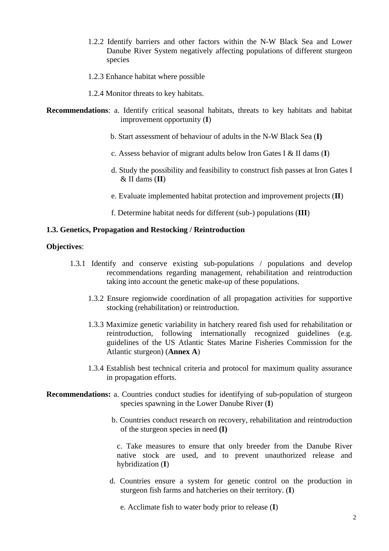- 1.2.2 Identify barriers and other factors within the N-W Black Sea and Lower Danube River System negatively affecting populations of different sturgeon species
- 1.2.3 Enhance habitat where possible
- 1.2.4 Monitor threats to key habitats.
- **Recommendations**: a. Identify critical seasonal habitats, threats to key habitats and habitat improvement opportunity (**I**)
	- b. Start assessment of behaviour of adults in the N-W Black Sea (**I)**
	- c. Assess behavior of migrant adults below Iron Gates I & II dams (**I**)
	- d. Study the possibility and feasibility to construct fish passes at Iron Gates I & II dams (**II**)
	- e. Evaluate implemented habitat protection and improvement projects (**II**)
	- f. Determine habitat needs for different (sub-) populations (**III**)

#### **1.3. Genetics, Propagation and Restocking / Reintroduction**

## **Objectives**:

- 1.3.1 Identify and conserve existing sub-populations / populations and develop recommendations regarding management, rehabilitation and reintroduction taking into account the genetic make-up of these populations.
	- 1.3.2 Ensure regionwide coordination of all propagation activities for supportive stocking (rehabilitation) or reintroduction.
	- 1.3.3 Maximize genetic variability in hatchery reared fish used for rehabilitation or reintroduction, following internationally recognized guidelines (e.g. guidelines of the US Atlantic States Marine Fisheries Commission for the Atlantic sturgeon) (**Annex A**)
	- 1.3.4 Establish best technical criteria and protocol for maximum quality assurance in propagation efforts.
- **Recommendations:** a. Countries conduct studies for identifying of sub-population of sturgeon species spawning in the Lower Danube River (**I**)
	- b. Countries conduct research on recovery, rehabilitation and reintroduction of the sturgeon species in need **(I)**

 c. Take measures to ensure that only breeder from the Danube River native stock are used, and to prevent unauthorized release and hybridization (**I**)

 d. Countries ensure a system for genetic control on the production in sturgeon fish farms and hatcheries on their territory. (**I**)

e. Acclimate fish to water body prior to release (**I**)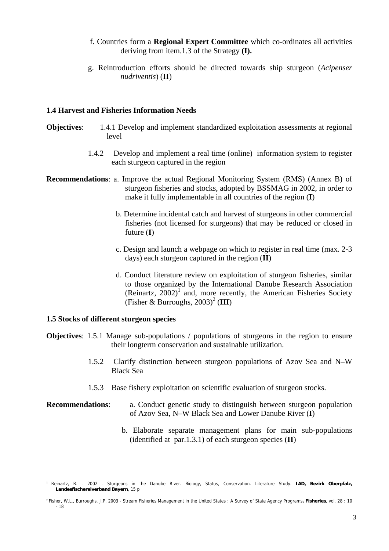- f. Countries form a **Regional Expert Committee** which co-ordinates all activities deriving from item.1.3 of the Strategy **(I).**
- g. Reintroduction efforts should be directed towards ship sturgeon (*Acipenser nudriventis*) (**II**)

#### **1.4 Harvest and Fisheries Information Needs**

- **Objectives:** 1.4.1 Develop and implement standardized exploitation assessments at regional level
	- 1.4.2 Develop and implement a real time (online) information system to register each sturgeon captured in the region
- **Recommendations**: a. Improve the actual Regional Monitoring System (RMS) (Annex B) of sturgeon fisheries and stocks, adopted by BSSMAG in 2002, in order to make it fully implementable in all countries of the region (**I**)
	- b. Determine incidental catch and harvest of sturgeons in other commercial fisheries (not licensed for sturgeons) that may be reduced or closed in future (**I**)
	- c. Design and launch a webpage on which to register in real time (max. 2-3 days) each sturgeon captured in the region (**II**)
	- d. Conduct literature review on exploitation of sturgeon fisheries, similar to those organized by the International Danube Research Association (Reinartz,  $2002$ )<sup>1</sup> and, more recently, the American Fisheries Society (Fisher & Burroughs,  $2003$ )<sup>2</sup> (III)

## **1.5 Stocks of different sturgeon species**

 $\overline{\phantom{a}}$ 

- **Objectives**: 1.5.1 Manage sub-populations / populations of sturgeons in the region to ensure their longterm conservation and sustainable utilization.
	- 1.5.2 Clarify distinction between sturgeon populations of Azov Sea and N–W Black Sea
	- 1.5.3 Base fishery exploitation on scientific evaluation of sturgeon stocks.

#### **Recommendations:** a. Conduct genetic study to distinguish between sturgeon population of Azov Sea, N–W Black Sea and Lower Danube River (**I**)

b. Elaborate separate management plans for main sub-populations (identified at par.1.3.1) of each sturgeon species (**II**)

<sup>1</sup> Reinartz, R. - 2002 - Sturgeons in the Danube River. Biology, Status, Conservation. Literature Study. **IAD, Bezirk Oberpfalz, Landesfischereiverband Bayern**, 15 p

<sup>2</sup> Fisher, W.L., Burroughs, J.P. 2003 - Stream Fisheries Management in the United States : A Survey of State Agency Programs**. Fisheries**, vol. 28 : 10 - 18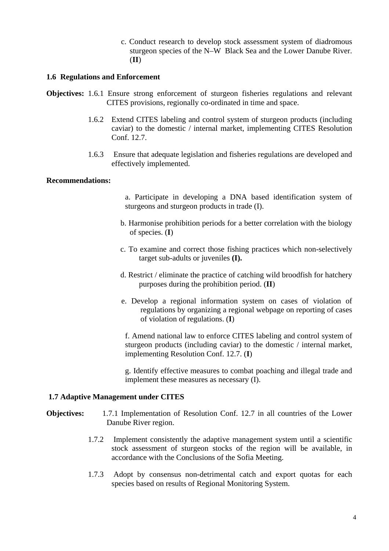c. Conduct research to develop stock assessment system of diadromous sturgeon species of the N–W Black Sea and the Lower Danube River. (**II**)

## **1.6 Regulations and Enforcement**

- **Objectives:** 1.6.1 Ensure strong enforcement of sturgeon fisheries regulations and relevant CITES provisions, regionally co-ordinated in time and space.
	- 1.6.2 Extend CITES labeling and control system of sturgeon products (including caviar) to the domestic / internal market, implementing CITES Resolution Conf. 12.7.
	- 1.6.3 Ensure that adequate legislation and fisheries regulations are developed and effectively implemented.

#### **Recommendations:**

- a. Participate in developing a DNA based identification system of sturgeons and sturgeon products in trade (I).
- b. Harmonise prohibition periods for a better correlation with the biology of species. (**I**)
- c. To examine and correct those fishing practices which non-selectively target sub-adults or juveniles **(I).**
- d. Restrict / eliminate the practice of catching wild broodfish for hatchery purposes during the prohibition period. (**II**)
- e. Develop a regional information system on cases of violation of regulations by organizing a regional webpage on reporting of cases of violation of regulations. (**I**)

 f. Amend national law to enforce CITES labeling and control system of sturgeon products (including caviar) to the domestic / internal market, implementing Resolution Conf. 12.7. (**I**)

 g. Identify effective measures to combat poaching and illegal trade and implement these measures as necessary (I).

## **1.7 Adaptive Management under CITES**

- **Objectives:** 1.7.1 Implementation of Resolution Conf. 12.7 in all countries of the Lower Danube River region.
	- 1.7.2 Implement consistently the adaptive management system until a scientific stock assessment of sturgeon stocks of the region will be available, in accordance with the Conclusions of the Sofia Meeting.
	- 1.7.3 Adopt by consensus non-detrimental catch and export quotas for each species based on results of Regional Monitoring System.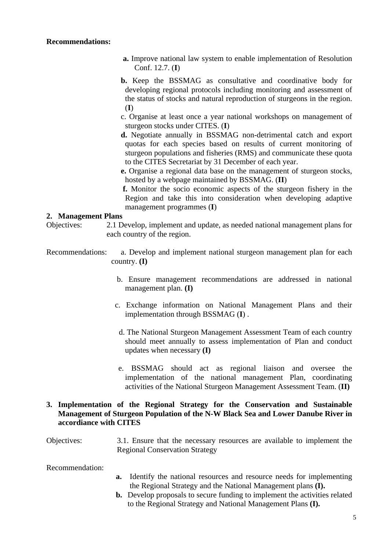#### **Recommendations:**

- **a.** Improve national law system to enable implementation of Resolution Conf. 12.7. (**I**)
- **b.** Keep the BSSMAG as consultative and coordinative body for developing regional protocols including monitoring and assessment of the status of stocks and natural reproduction of sturgeons in the region. (**I**)
- c. Organise at least once a year national workshops on management of sturgeon stocks under CITES. (**I**)
- **d.** Negotiate annually in BSSMAG non-detrimental catch and export quotas for each species based on results of current monitoring of sturgeon populations and fisheries (RMS) and communicate these quota to the CITES Secretariat by 31 December of each year.
- **e.** Organise a regional data base on the management of sturgeon stocks, hosted by a webpage maintained by BSSMAG. (**II**)
- **f.** Monitor the socio economic aspects of the sturgeon fishery in the Region and take this into consideration when developing adaptive management programmes (**I**)

#### **2. Management Plans**

- Objectives: 2.1 Develop, implement and update, as needed national management plans for each country of the region.
- Recommendations: a. Develop and implement national sturgeon management plan for each country. **(I)** 
	- b. Ensure management recommendations are addressed in national management plan. **(I)**
	- c. Exchange information on National Management Plans and their implementation through BSSMAG (**I**) .
	- d. The National Sturgeon Management Assessment Team of each country should meet annually to assess implementation of Plan and conduct updates when necessary **(I)**
	- e. BSSMAG should act as regional liaison and oversee the implementation of the national management Plan, coordinating activities of the National Sturgeon Management Assessment Team. (**II)**

# **3. Implementation of the Regional Strategy for the Conservation and Sustainable Management of Sturgeon Population of the N-W Black Sea and Lower Danube River in accordiance with CITES**

Objectives: 3.1. Ensure that the necessary resources are available to implement the Regional Conservation Strategy

Recommendation:

- **a.** Identify the national resources and resource needs for implementing the Regional Strategy and the National Management plans **(I).**
- **b.** Develop proposals to secure funding to implement the activities related to the Regional Strategy and National Management Plans **(I).**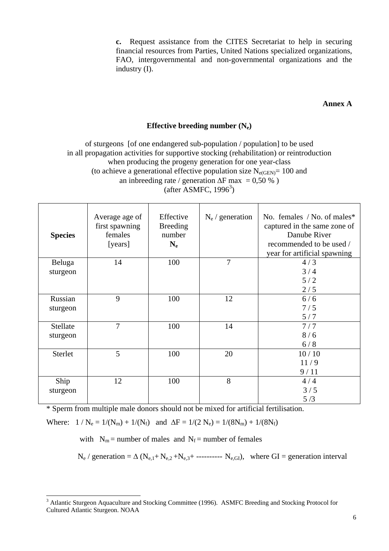**c.** Request assistance from the CITES Secretariat to help in securing financial resources from Parties, United Nations specialized organizations, FAO, intergovernmental and non-governmental organizations and the industry (I).

#### **Annex A**

# **Effective breeding number (Ne)**

of sturgeons [of one endangered sub-population / population] to be used in all propagation activities for supportive stocking (rehabilitation) or reintroduction when producing the progeny generation for one year-class (to achieve a generational effective population size  $N_{e(GEN)} = 100$  and an inbreeding rate / generation  $\Delta F$  max = 0,50 %)  $(after$  ASMFC, 1996<sup>3</sup>)

| <b>Species</b> | Average age of<br>first spawning<br>females<br>[years] | Effective<br><b>Breeding</b><br>number<br>$N_{e}$ | $N_e /$ generation | No. females $/$ No. of males*<br>captured in the same zone of<br>Danube River<br>recommended to be used /<br>year for artificial spawning |
|----------------|--------------------------------------------------------|---------------------------------------------------|--------------------|-------------------------------------------------------------------------------------------------------------------------------------------|
| Beluga         | 14                                                     | 100                                               | 7                  | 4/3                                                                                                                                       |
| sturgeon       |                                                        |                                                   |                    | 3/4<br>5/2                                                                                                                                |
|                |                                                        |                                                   |                    | 2/5                                                                                                                                       |
| Russian        | 9                                                      | 100                                               | 12                 | 6/6                                                                                                                                       |
| sturgeon       |                                                        |                                                   |                    | 7/5                                                                                                                                       |
|                |                                                        |                                                   |                    | 5/7                                                                                                                                       |
| Stellate       | $\overline{7}$                                         | 100                                               | 14                 | 7/7                                                                                                                                       |
| sturgeon       |                                                        |                                                   |                    | 8/6                                                                                                                                       |
|                |                                                        |                                                   |                    | 6/8                                                                                                                                       |
| Sterlet        | 5                                                      | 100                                               | 20                 | 10/10                                                                                                                                     |
|                |                                                        |                                                   |                    | 11/9                                                                                                                                      |
|                |                                                        |                                                   |                    | 9/11                                                                                                                                      |
| Ship           | 12                                                     | 100                                               | 8                  | 4/4                                                                                                                                       |
| sturgeon       |                                                        |                                                   |                    | 3/5                                                                                                                                       |
|                |                                                        |                                                   |                    | 5/3                                                                                                                                       |

\* Sperm from multiple male donors should not be mixed for artificial fertilisation.

Where:  $1/N_e = 1/(N_m) + 1/(N_f)$  and  $\Delta F = 1/(2 N_e) = 1/(8 N_m) + 1/(8 N_f)$ 

with  $N_m$  = number of males and  $N_f$  = number of females

 $N_e$  / generation =  $\Delta$  ( $N_{e,1}$ +  $N_{e,2}$ + $N_{e,3}$ + ----------  $N_{e,GI}$ ), where GI = generation interval

<sup>&</sup>lt;sup>3</sup> Atlantic Sturgeon Aquaculture and Stocking Committee (1996). ASMFC Breeding and Stocking Protocol for Cultured Atlantic Sturgeon. NOAA